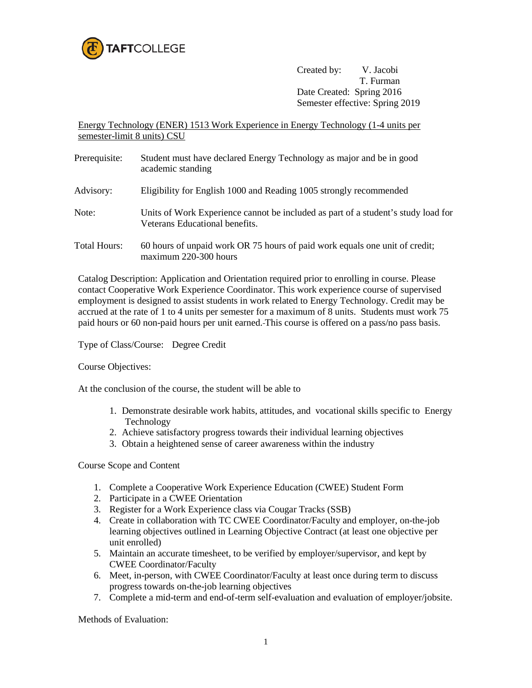

Created by: V. Jacobi T. Furman Date Created: Spring 2016 Semester effective: Spring 2019

Energy Technology (ENER) 1513 Work Experience in Energy Technology (1-4 units per semester-limit 8 units) CSU

- Prerequisite: Student must have declared Energy Technology as major and be in good academic standing Advisory: Eligibility for English 1000 and Reading 1005 strongly recommended
- 
- Note: Units of Work Experience cannot be included as part of a student's study load for Veterans Educational benefits.
- Total Hours: 60 hours of unpaid work OR 75 hours of paid work equals one unit of credit; maximum 220-300 hours

Catalog Description: Application and Orientation required prior to enrolling in course. Please contact Cooperative Work Experience Coordinator. This work experience course of supervised employment is designed to assist students in work related to Energy Technology. Credit may be accrued at the rate of 1 to 4 units per semester for a maximum of 8 units. Students must work 75 paid hours or 60 non-paid hours per unit earned. This course is offered on a pass/no pass basis.

Type of Class/Course: Degree Credit

Course Objectives:

At the conclusion of the course, the student will be able to

- 1. Demonstrate desirable work habits, attitudes, and vocational skills specific to Energy Technology
- 2. Achieve satisfactory progress towards their individual learning objectives
- 3. Obtain a heightened sense of career awareness within the industry

Course Scope and Content

- 1. Complete a Cooperative Work Experience Education (CWEE) Student Form
- 2. Participate in a CWEE Orientation
- 3. Register for a Work Experience class via Cougar Tracks (SSB)
- 4. Create in collaboration with TC CWEE Coordinator/Faculty and employer, on-the-job learning objectives outlined in Learning Objective Contract (at least one objective per unit enrolled)
- 5. Maintain an accurate timesheet, to be verified by employer/supervisor, and kept by CWEE Coordinator/Faculty
- 6. Meet, in-person, with CWEE Coordinator/Faculty at least once during term to discuss progress towards on-the-job learning objectives
- 7. Complete a mid-term and end-of-term self-evaluation and evaluation of employer/jobsite.

Methods of Evaluation: